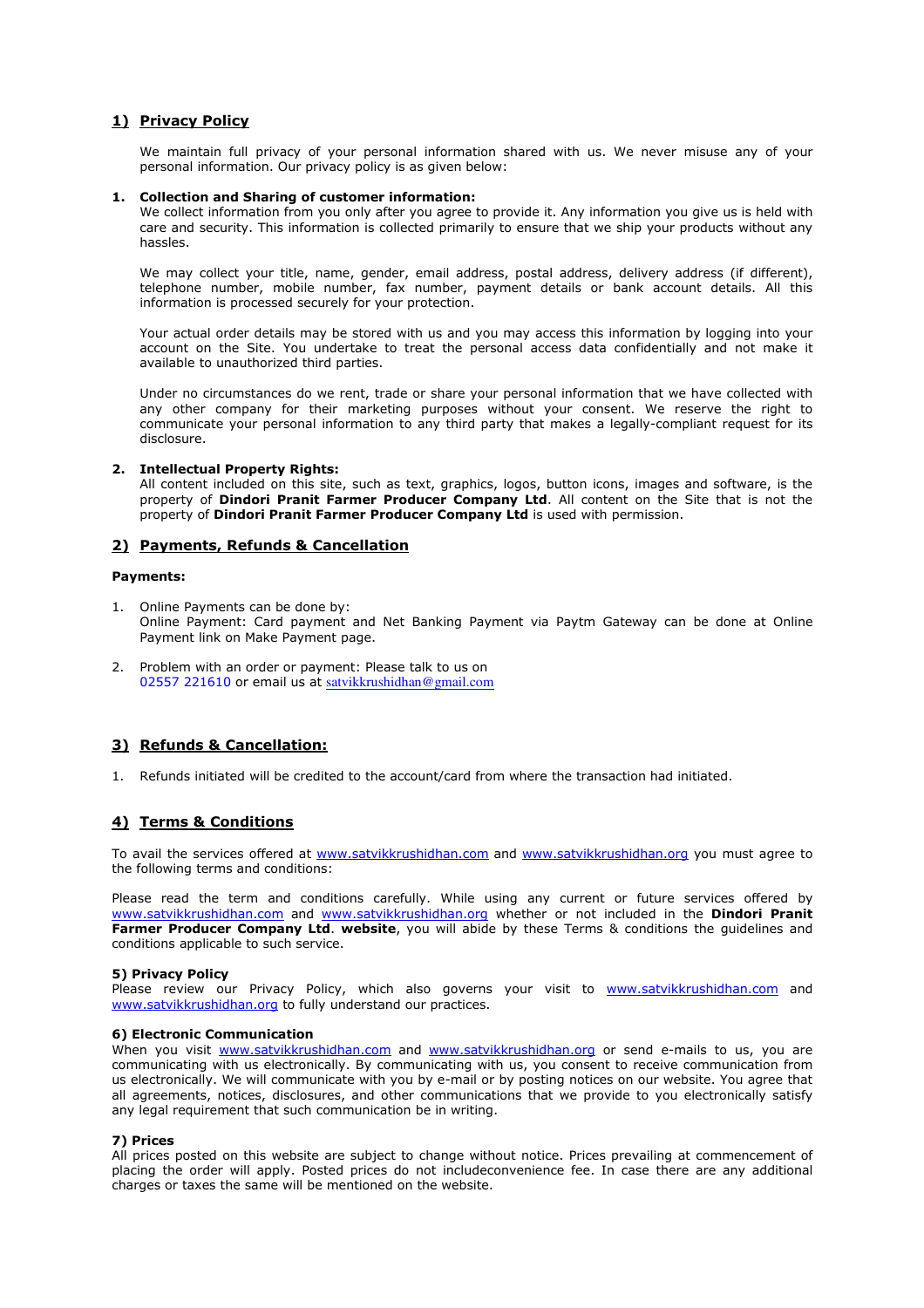# 1) Privacy Policy

We maintain full privacy of your personal information shared with us. We never misuse any of your personal information. Our privacy policy is as given below:

# 1. Collection and Sharing of customer information:

We collect information from you only after you agree to provide it. Any information you give us is held with care and security. This information is collected primarily to ensure that we ship your products without any hassles.

We may collect your title, name, gender, email address, postal address, delivery address (if different), telephone number, mobile number, fax number, payment details or bank account details. All this information is processed securely for your protection.

Your actual order details may be stored with us and you may access this information by logging into your account on the Site. You undertake to treat the personal access data confidentially and not make it available to unauthorized third parties.

Under no circumstances do we rent, trade or share your personal information that we have collected with any other company for their marketing purposes without your consent. We reserve the right to communicate your personal information to any third party that makes a legally-compliant request for its disclosure.

# 2. Intellectual Property Rights:

All content included on this site, such as text, graphics, logos, button icons, images and software, is the property of Dindori Pranit Farmer Producer Company Ltd. All content on the Site that is not the property of Dindori Pranit Farmer Producer Company Ltd is used with permission.

# 2) Payments, Refunds & Cancellation

# Payments:

- 1. Online Payments can be done by: Online Payment: Card payment and Net Banking Payment via Paytm Gateway can be done at Online Payment link on Make Payment page.
- 2. Problem with an order or payment: Please talk to us on 02557 221610 or email us at satvikkrushidhan@gmail.com

# 3) Refunds & Cancellation:

1. Refunds initiated will be credited to the account/card from where the transaction had initiated.

# 4) Terms & Conditions

To avail the services offered at www.satvikkrushidhan.com and www.satvikkrushidhan.org you must agree to the following terms and conditions:

Please read the term and conditions carefully. While using any current or future services offered by www.satvikkrushidhan.com and www.satvikkrushidhan.org whether or not included in the **Dindori Pranit** Farmer Producer Company Ltd. website, you will abide by these Terms & conditions the quidelines and conditions applicable to such service.

## 5) Privacy Policy

Please review our Privacy Policy, which also governs your visit to www.satvikkrushidhan.com and www.satvikkrushidhan.org to fully understand our practices.

## 6) Electronic Communication

When you visit www.satvikkrushidhan.com and www.satvikkrushidhan.org or send e-mails to us, you are communicating with us electronically. By communicating with us, you consent to receive communication from us electronically. We will communicate with you by e-mail or by posting notices on our website. You agree that all agreements, notices, disclosures, and other communications that we provide to you electronically satisfy any legal requirement that such communication be in writing.

# 7) Prices

All prices posted on this website are subject to change without notice. Prices prevailing at commencement of placing the order will apply. Posted prices do not includeconvenience fee. In case there are any additional charges or taxes the same will be mentioned on the website.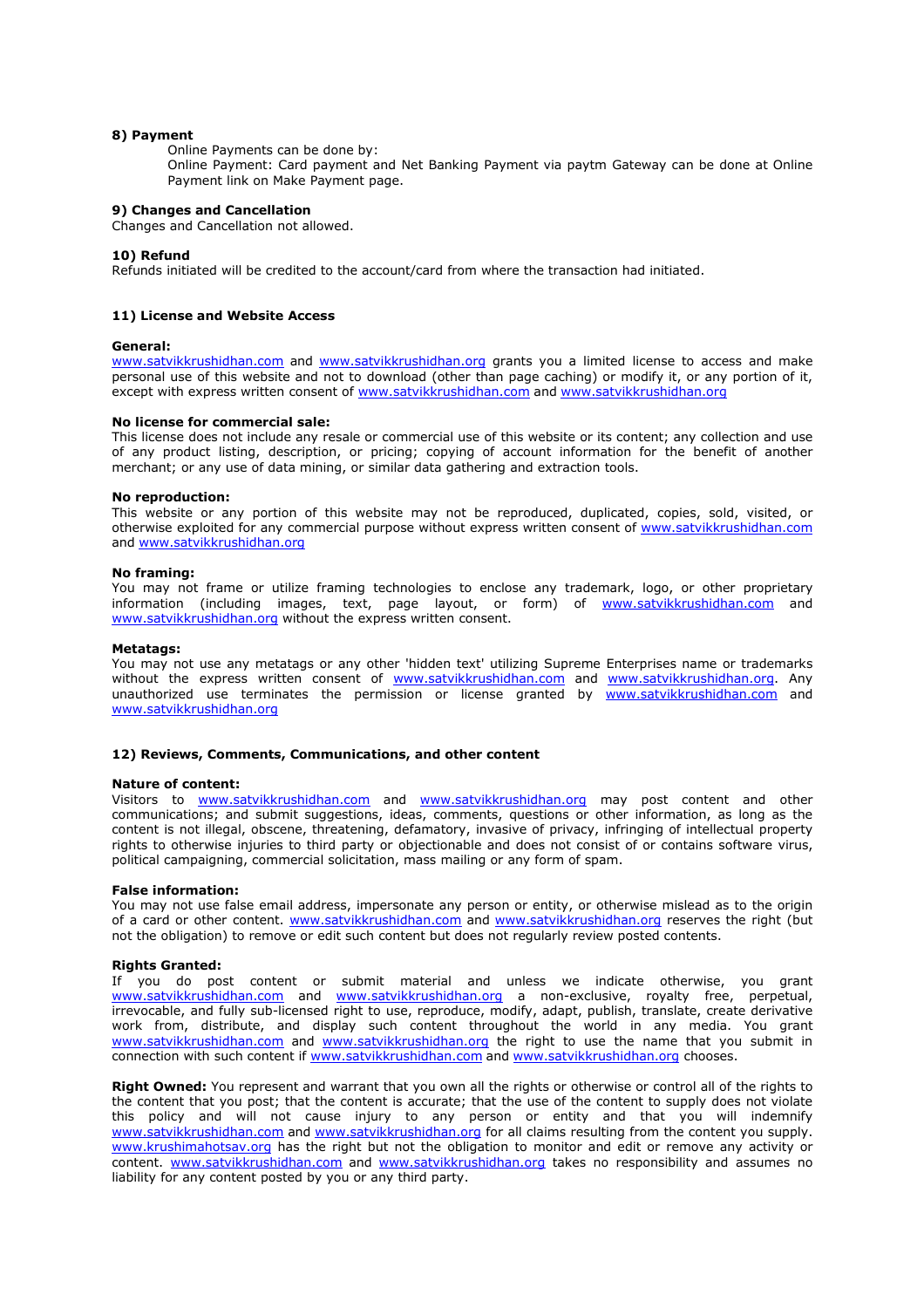# 8) Payment

Online Payments can be done by:

Online Payment: Card payment and Net Banking Payment via paytm Gateway can be done at Online Payment link on Make Payment page.

# 9) Changes and Cancellation

Changes and Cancellation not allowed.

## 10) Refund

Refunds initiated will be credited to the account/card from where the transaction had initiated.

## 11) License and Website Access

## General:

www.satvikkrushidhan.com and www.satvikkrushidhan.org grants you a limited license to access and make personal use of this website and not to download (other than page caching) or modify it, or any portion of it, except with express written consent of www.satvikkrushidhan.com and www.satvikkrushidhan.org

#### No license for commercial sale:

This license does not include any resale or commercial use of this website or its content; any collection and use of any product listing, description, or pricing; copying of account information for the benefit of another merchant; or any use of data mining, or similar data gathering and extraction tools.

## No reproduction:

This website or any portion of this website may not be reproduced, duplicated, copies, sold, visited, or otherwise exploited for any commercial purpose without express written consent of www.satvikkrushidhan.com and www.satvikkrushidhan.org

#### No framing:

You may not frame or utilize framing technologies to enclose any trademark, logo, or other proprietary information (including images, text, page layout, or form) of www.satvikkrushidhan.com and www.satvikkrushidhan.org without the express written consent.

### Metatags:

You may not use any metatags or any other 'hidden text' utilizing Supreme Enterprises name or trademarks without the express written consent of www.satvikkrushidhan.com and www.satvikkrushidhan.org. Any unauthorized use terminates the permission or license granted by www.satvikkrushidhan.com and www.satvikkrushidhan.org

# 12) Reviews, Comments, Communications, and other content

## Nature of content:

Visitors to www.satvikkrushidhan.com and www.satvikkrushidhan.org may post content and other communications; and submit suggestions, ideas, comments, questions or other information, as long as the content is not illegal, obscene, threatening, defamatory, invasive of privacy, infringing of intellectual property rights to otherwise injuries to third party or objectionable and does not consist of or contains software virus, political campaigning, commercial solicitation, mass mailing or any form of spam.

## False information:

You may not use false email address, impersonate any person or entity, or otherwise mislead as to the origin of a card or other content. www.satvikkrushidhan.com and www.satvikkrushidhan.org reserves the right (but not the obligation) to remove or edit such content but does not regularly review posted contents.

## Rights Granted:

If you do post content or submit material and unless we indicate otherwise, you grant www.satvikkrushidhan.com and www.satvikkrushidhan.org a non-exclusive, royalty free, perpetual, irrevocable, and fully sub-licensed right to use, reproduce, modify, adapt, publish, translate, create derivative work from, distribute, and display such content throughout the world in any media. You grant www.satvikkrushidhan.com and www.satvikkrushidhan.org the right to use the name that you submit in connection with such content if www.satvikkrushidhan.com and www.satvikkrushidhan.org chooses.

Right Owned: You represent and warrant that you own all the rights or otherwise or control all of the rights to the content that you post; that the content is accurate; that the use of the content to supply does not violate this policy and will not cause injury to any person or entity and that you will indemnify www.satvikkrushidhan.com and www.satvikkrushidhan.org for all claims resulting from the content you supply. www.krushimahotsav.org has the right but not the obligation to monitor and edit or remove any activity or content. www.satvikkrushidhan.com and www.satvikkrushidhan.org takes no responsibility and assumes no liability for any content posted by you or any third party.